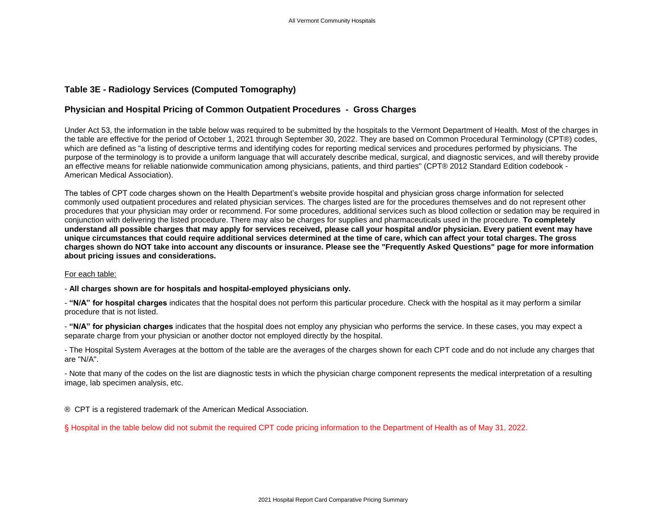## **Table 3E - Radiology Services (Computed Tomography)**

## **Physician and Hospital Pricing of Common Outpatient Procedures - Gross Charges**

Under Act 53, the information in the table below was required to be submitted by the hospitals to the Vermont Department of Health. Most of the charges in the table are effective for the period of October 1, 2021 through September 30, 2022. They are based on Common Procedural Terminology (CPT®) codes, which are defined as "a listing of descriptive terms and identifying codes for reporting medical services and procedures performed by physicians. The purpose of the terminology is to provide a uniform language that will accurately describe medical, surgical, and diagnostic services, and will thereby provide an effective means for reliable nationwide communication among physicians, patients, and third parties" (CPT® 2012 Standard Edition codebook - American Medical Association).

The tables of CPT code charges shown on the Health Department's website provide hospital and physician gross charge information for selected commonly used outpatient procedures and related physician services. The charges listed are for the procedures themselves and do not represent other procedures that your physician may order or recommend. For some procedures, additional services such as blood collection or sedation may be required in conjunction with delivering the listed procedure. There may also be charges for supplies and pharmaceuticals used in the procedure. **To completely understand all possible charges that may apply for services received, please call your hospital and/or physician. Every patient event may have unique circumstances that could require additional services determined at the time of care, which can affect your total charges. The gross charges shown do NOT take into account any discounts or insurance. Please see the "Frequently Asked Questions" page for more information about pricing issues and considerations.**

## For each table:

- **All charges shown are for hospitals and hospital-employed physicians only.**

- **"N/A" for hospital charges** indicates that the hospital does not perform this particular procedure. Check with the hospital as it may perform a similar procedure that is not listed.

- **"N/A" for physician charges** indicates that the hospital does not employ any physician who performs the service. In these cases, you may expect a separate charge from your physician or another doctor not employed directly by the hospital.

- The Hospital System Averages at the bottom of the table are the averages of the charges shown for each CPT code and do not include any charges that are "N/A".

- Note that many of the codes on the list are diagnostic tests in which the physician charge component represents the medical interpretation of a resulting image, lab specimen analysis, etc.

® CPT is a registered trademark of the American Medical Association.

§ Hospital in the table below did not submit the required CPT code pricing information to the Department of Health as of May 31, 2022.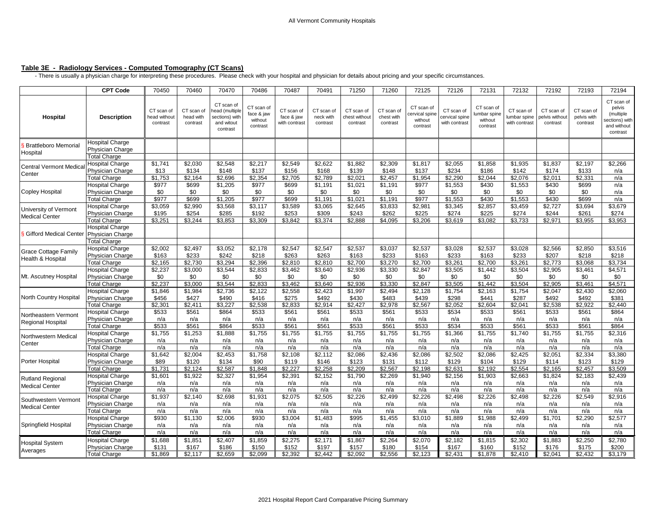## **Table 3E - Radiology Services - Computed Tomography (CT Scans)**

- There is usually a physician charge for interpreting these procedures. Please check with your hospital and physician for details about pricing and your specific circumstances.

|                                                  | <b>CPT Code</b>                            | 70450                                  | 70460                               | 70470                                                                   | 70486                                           | 70487                                     | 70491                               | 71250                                   | 71260                                | 72125                                              | 72126                                         | 72131                                            | 72132                                      | 72192                                   | 72193                                 | 72194                                                                         |
|--------------------------------------------------|--------------------------------------------|----------------------------------------|-------------------------------------|-------------------------------------------------------------------------|-------------------------------------------------|-------------------------------------------|-------------------------------------|-----------------------------------------|--------------------------------------|----------------------------------------------------|-----------------------------------------------|--------------------------------------------------|--------------------------------------------|-----------------------------------------|---------------------------------------|-------------------------------------------------------------------------------|
| Hospital                                         | <b>Description</b>                         | CT scan of<br>head without<br>contrast | CT scan of<br>head with<br>contrast | CT scan of<br>ead (multiple<br>sections) with<br>and witout<br>contrast | CT scan of<br>face & jaw<br>without<br>contrast | CT scan of<br>face & jaw<br>with contrast | CT scan of<br>neck with<br>contrast | CT scan of<br>chest without<br>contrast | CT scan of<br>chest with<br>contrast | CT scan of<br>ervical spine<br>without<br>contrast | CT scan of<br>cervical spine<br>with contrast | CT scan of<br>umbar spine<br>without<br>contrast | CT scan of<br>umbar spine<br>with contrast | CT scan of<br>belvis withou<br>contrast | CT scan of<br>pelvis with<br>contrast | CT scan of<br>pelvis<br>(multiple<br>ections) with<br>and without<br>contrast |
| <b>Brattleboro Memorial</b><br>Hospital          | Hospital Charge<br>Physician Charge        |                                        |                                     |                                                                         |                                                 |                                           |                                     |                                         |                                      |                                                    |                                               |                                                  |                                            |                                         |                                       |                                                                               |
|                                                  | <b>Total Charge</b>                        |                                        |                                     |                                                                         |                                                 |                                           |                                     |                                         |                                      |                                                    |                                               |                                                  |                                            |                                         |                                       |                                                                               |
| Central Vermont Medica<br>Center                 | Hospital Charge                            | \$1,741                                | \$2,030                             | \$2,548                                                                 | \$2,217                                         | \$2,549                                   | \$2,622                             | \$1,882                                 | \$2,309                              | \$1,817                                            | \$2,055                                       | \$1,858                                          | \$1,935                                    | \$1,837                                 | \$2,197                               | \$2,266                                                                       |
|                                                  | Physician Charge                           | \$13                                   | \$134                               | \$148                                                                   | \$137                                           | \$156                                     | \$168                               | \$139                                   | \$148                                | \$137                                              | \$234                                         | \$186                                            | \$142                                      | \$174                                   | \$133                                 | n/a                                                                           |
|                                                  | <b>Total Charge</b>                        | \$1,753                                | \$2.164                             | \$2,696                                                                 | \$2.354                                         | \$2,705                                   | \$2,789                             | \$2,021                                 | \$2,457                              | \$1,954                                            | \$2,290                                       | \$2,044                                          | \$2,076                                    | \$2,011                                 | \$2,331                               | n/a                                                                           |
| <b>Copley Hospital</b>                           | Hospital Charge                            | \$977                                  | \$699                               | \$1,205                                                                 | \$977                                           | \$699                                     | \$1,191                             | \$1,021                                 | \$1,191                              | \$977                                              | \$1,553                                       | \$430                                            | \$1,553                                    | \$430                                   | \$699                                 | n/a                                                                           |
|                                                  | Physician Charge                           | \$0                                    | \$0                                 | \$0                                                                     | \$0                                             | \$0                                       | \$0                                 | \$0                                     | \$0                                  | \$0                                                | \$0                                           | \$0                                              | \$0                                        | \$0                                     | \$0                                   | n/a                                                                           |
|                                                  | <b>Total Charge</b>                        | \$977                                  | \$699                               | \$1,205                                                                 | \$977                                           | \$699                                     | \$1,191                             | \$1,021                                 | \$1,191                              | \$977                                              | \$1,553                                       | \$430                                            | \$1,553                                    | \$430                                   | \$699                                 | n/a                                                                           |
| University of Vermont<br><b>Medical Center</b>   | Hospital Charge                            | \$3,059                                | \$2,990<br>\$254                    | \$3,568                                                                 | \$3,117                                         | \$3,589                                   | \$3,065                             | \$2,645                                 | \$3,833                              | \$2,981<br>\$225                                   | \$3,345                                       | \$2,857                                          | \$3,459                                    | \$2,727<br>\$244                        | \$3,694                               | \$3,679                                                                       |
|                                                  | Physician Charge<br><b>Total Charge</b>    | \$195<br>\$3,251                       | \$3,244                             | \$285<br>\$3,853                                                        | \$192<br>\$3,309                                | \$253<br>\$3,842                          | \$309<br>\$3,374                    | \$243<br>\$2,888                        | \$262<br>\$4,095                     | \$3,206                                            | \$274<br>\$3,619                              | \$225<br>\$3,082                                 | \$274<br>\$3,733                           | \$2,971                                 | \$261<br>\$3,955                      | \$274<br>\$3,953                                                              |
| Gifford Medical Center                           | <b>Hospital Charge</b><br>Physician Charge |                                        |                                     |                                                                         |                                                 |                                           |                                     |                                         |                                      |                                                    |                                               |                                                  |                                            |                                         |                                       |                                                                               |
|                                                  | <b>Total Charge</b>                        |                                        |                                     |                                                                         |                                                 |                                           |                                     |                                         |                                      |                                                    |                                               |                                                  |                                            |                                         |                                       |                                                                               |
| <b>Grace Cottage Family</b><br>Health & Hospital | Hospital Charge<br>Physician Charge        | \$2,002<br>\$163                       | \$2,497<br>\$233                    | \$3,052<br>\$242                                                        | \$2,178<br>\$218                                | \$2,547<br>\$263                          | \$2,547<br>\$263                    | \$2.537<br>\$163                        | \$3.037<br>\$233                     | \$2,537<br>\$163                                   | \$3.028<br>\$233                              | \$2.537<br>\$163                                 | \$3.028<br>\$233                           | \$2.566<br>\$207                        | \$2.850<br>\$218                      | \$3.516<br>\$218                                                              |
|                                                  | <b>Total Charge</b>                        | \$2,165                                | \$2.730                             | \$3.294                                                                 | \$2.396                                         | \$2,810                                   | \$2,810                             | \$2.700                                 | \$3.270                              | \$2.700                                            | \$3,261                                       | \$2.700                                          | \$3.261                                    | \$2.773                                 | \$3.068                               | \$3.734                                                                       |
| Mt. Ascutney Hospital                            | Hospital Charge                            | \$2,237                                | \$3,000                             | \$3,544                                                                 | \$2,833                                         | \$3,462                                   | \$3,640                             | \$2,936                                 | \$3,330                              | \$2,847                                            | \$3,505                                       | \$1,442                                          | \$3,504                                    | \$2,905                                 | \$3,461                               | \$4,571                                                                       |
|                                                  | Physician Charge                           | \$0                                    | \$0                                 | \$0                                                                     | \$0                                             | \$0                                       | \$0                                 | \$0                                     | \$0                                  | \$0                                                | \$0                                           | \$0                                              | \$0                                        | \$0                                     | \$0                                   | \$0                                                                           |
|                                                  | <b>Total Charge</b>                        | \$2,237                                | \$3,000                             | \$3,544                                                                 | \$2,833                                         | \$3,462                                   | \$3,640                             | \$2,936                                 | \$3,330                              | \$2,847                                            | \$3,505                                       | \$1,442                                          | \$3,504                                    | \$2,905                                 | \$3,461                               | \$4,571                                                                       |
| North Country Hospital                           | Hospital Charge                            | \$1,846                                | \$1,984                             | \$2,736                                                                 | \$2,122                                         | \$2,558                                   | \$2,423                             | \$1,997                                 | \$2.494                              | \$2,128                                            | \$1,754                                       | \$2,163                                          | \$1,754                                    | \$2,047                                 | \$2.430                               | \$2,060                                                                       |
|                                                  | Physician Charge                           | \$456                                  | \$427                               | \$490                                                                   | \$416                                           | \$275                                     | \$492                               | \$430                                   | \$483                                | \$439                                              | \$298                                         | \$441                                            | \$287                                      | \$492                                   | \$492                                 | \$381                                                                         |
|                                                  | <b>Total Charge</b>                        | \$2.301                                | \$2.411                             | \$3.227                                                                 | \$2.538                                         | \$2.833                                   | \$2.914                             | \$2.427                                 | \$2.978                              | \$2.567                                            | \$2.052                                       | \$2.604                                          | \$2.041                                    | \$2.538                                 | \$2.922                               | \$2.440                                                                       |
| Northeastern Vermont<br>Regional Hospital        | Hospital Charge<br>Physician Charge        | \$533<br>n/a                           | \$561<br>n/a                        | \$864<br>n/a                                                            | \$533<br>n/a                                    | \$561<br>n/a                              | \$561<br>n/a                        | \$533<br>n/a                            | \$561<br>n/a                         | \$533<br>n/a                                       | \$534<br>n/a                                  | \$533<br>n/a                                     | \$561<br>n/a                               | \$533<br>n/a                            | \$561<br>n/a                          | \$864<br>n/a                                                                  |
|                                                  | <b>Total Charge</b>                        | \$533                                  | \$561                               | \$864                                                                   | \$533                                           | \$561                                     | \$561                               | \$533                                   | \$561                                | \$533                                              | \$534                                         | \$533                                            | \$561                                      | \$533                                   | \$561                                 | \$864                                                                         |
| Northwestern Medical<br>Center                   | Hospital Charge                            | \$1,755                                | \$1,253                             | \$1,888                                                                 | \$1,755                                         | \$1,755                                   | \$1,755                             | \$1.755                                 | \$1.755                              | \$1.755                                            | \$1.366                                       | \$1.755                                          | \$1.740                                    | \$1.755                                 | \$1.755                               | \$2,316                                                                       |
|                                                  | Physician Charge                           | n/a                                    | n/a                                 | n/a                                                                     | n/a                                             | n/a                                       | n/a                                 | n/a                                     | n/a                                  | n/a                                                | n/a                                           | n/a                                              | n/a                                        | n/a                                     | n/a                                   | n/a                                                                           |
|                                                  | <b>Total Charge</b>                        | n/a                                    | n/a                                 | n/a                                                                     | n/a                                             | n/a                                       | n/a                                 | n/a                                     | n/a                                  | n/a                                                | n/a                                           | n/a                                              | n/a                                        | n/a                                     | n/a                                   | n/a                                                                           |
| Porter Hospital                                  | Hospital Charge                            | \$1,642<br>\$89                        | \$2,004                             | \$2,453                                                                 | \$1,758<br>\$90                                 | \$2,108                                   | \$2,112                             | \$2,086                                 | \$2,436                              | \$2,086                                            | \$2,502                                       | \$2,086                                          | \$2,425                                    | \$2,051                                 | \$2,334                               | \$3,380                                                                       |
|                                                  | Physician Charge<br><b>Total Charge</b>    | \$1,731                                | \$120<br>\$2,124                    | \$134<br>\$2,587                                                        | \$1,848                                         | \$119<br>\$2,227                          | \$146<br>\$2,258                    | \$123<br>\$2,209                        | \$131<br>\$2,567                     | \$112<br>\$2,198                                   | \$129<br>\$2,631                              | \$104<br>\$2,192                                 | \$129<br>\$2,554                           | \$114<br>\$2,165                        | \$123<br>\$2,457                      | \$129<br>\$3,509                                                              |
|                                                  | Hospital Charge                            | \$1,601                                | \$1,922                             | \$2,327                                                                 | \$1,954                                         | \$2,391                                   | \$2,152                             | \$1,790                                 | \$2,269                              | \$1,940                                            | \$2,156                                       | \$1,903                                          | \$2,663                                    | \$1,824                                 | \$2,183                               | \$2,439                                                                       |
| <b>Rutland Regional</b><br><b>Medical Center</b> | Physician Charge                           | n/a                                    | n/a                                 | n/a                                                                     | n/a                                             | n/a                                       | n/a                                 | n/a                                     | n/a                                  | n/a                                                | n/a                                           | n/a                                              | n/a                                        | n/a                                     | n/a                                   | n/a                                                                           |
|                                                  | <b>Total Charge</b>                        | n/a                                    | n/a                                 | n/a                                                                     | n/a                                             | n/a                                       | n/a                                 | n/a                                     | n/a                                  | n/a                                                | n/a                                           | n/a                                              | n/a                                        | n/a                                     | n/a                                   | n/a                                                                           |
| Southwestern Vermont<br><b>Medical Center</b>    | Hospital Charge                            | \$1,937                                | \$2,140                             | \$2,698                                                                 | \$1,931                                         | \$2,075                                   | \$2,505                             | \$2,226                                 | \$2,499                              | \$2,226                                            | \$2,498                                       | \$2,226                                          | \$2,498                                    | \$2,226                                 | \$2,549                               | \$2,916                                                                       |
|                                                  | Physician Charge                           | n/a                                    | n/a                                 | n/a                                                                     | n/a                                             | n/a                                       | n/a                                 | n/a                                     | n/a                                  | n/a                                                | n/a                                           | n/a                                              | n/a                                        | n/a                                     | n/a                                   | n/a                                                                           |
|                                                  | <b>Total Charge</b>                        | n/a                                    | n/a                                 | n/a                                                                     | n/a                                             | n/a                                       | n/a                                 | n/a                                     | n/a                                  | n/a                                                | n/a                                           | n/a                                              | n/a                                        | n/a                                     | n/a                                   | n/a                                                                           |
| Springfield Hospital                             | Hospital Charge                            | \$930                                  | \$1,130                             | \$2,006                                                                 | \$930                                           | \$3.004                                   | \$1,483                             | \$995                                   | \$1,455                              | \$3.010                                            | \$1.889                                       | \$1.988                                          | \$2.499                                    | \$1.701                                 | \$2.290                               | \$2,577                                                                       |
|                                                  | Physician Charge                           | n/a                                    | n/a                                 | n/a                                                                     | n/a                                             | n/a                                       | n/a                                 | n/a                                     | n/a                                  | n/a                                                | n/a                                           | n/a                                              | n/a                                        | n/a                                     | n/a                                   | n/a                                                                           |
|                                                  | <b>Total Charge</b>                        | n/a                                    | n/a                                 | n/a                                                                     | n/a                                             | n/a                                       | n/a                                 | n/a                                     | n/a                                  | n/a                                                | n/a                                           | n/a                                              | n/a                                        | n/a                                     | n/a                                   | n/a                                                                           |
| <b>Hospital System</b><br>Averages               | Hospital Charge<br>Physician Charge        | \$1,688<br>\$131                       | \$1,851<br>\$167                    | \$2,407<br>\$186                                                        | \$1,859<br>\$150                                | \$2,275<br>\$152                          | \$2,171<br>\$197                    | \$1,867<br>\$157                        | \$2,264<br>\$180                     | \$2,070<br>\$154                                   | \$2,182<br>\$167                              | \$1,815<br>\$160                                 | \$2,302<br>\$152                           | \$1,883<br>\$176                        | \$2,250<br>\$175                      | \$2,780<br>\$200                                                              |
|                                                  | <b>Total Charge</b>                        | \$1,869                                | \$2,117                             | \$2,659                                                                 | \$2,099                                         | \$2,392                                   | \$2,442                             | \$2,092                                 | \$2,556                              | \$2,123                                            | \$2,431                                       | \$1,878                                          | \$2,410                                    | \$2,041                                 | \$2,432                               | \$3,179                                                                       |
|                                                  |                                            |                                        |                                     |                                                                         |                                                 |                                           |                                     |                                         |                                      |                                                    |                                               |                                                  |                                            |                                         |                                       |                                                                               |